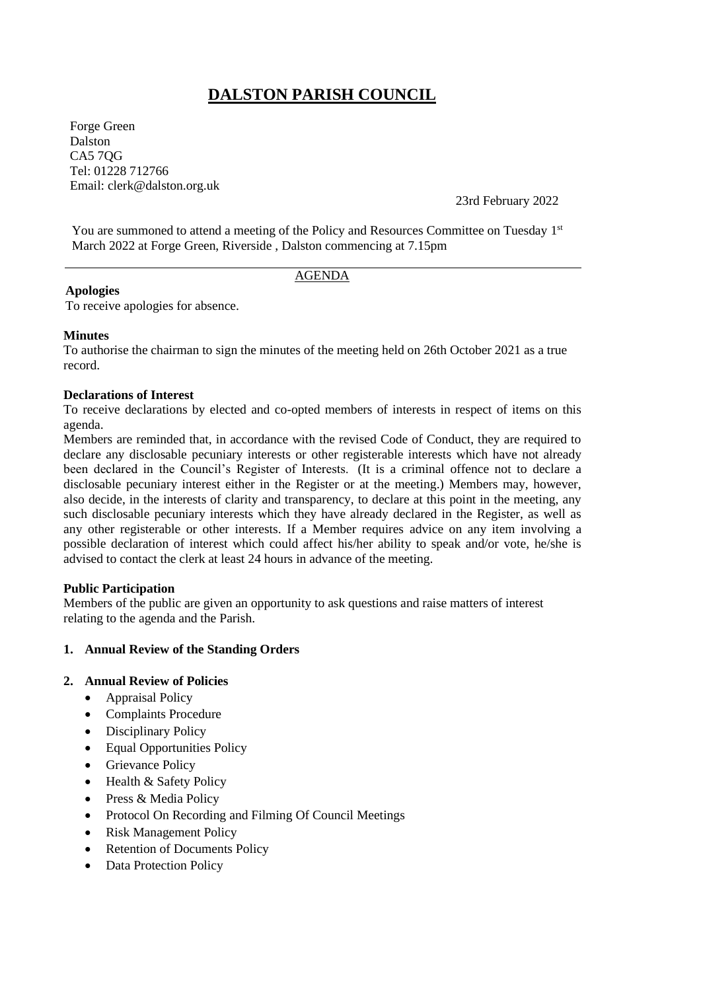# **DALSTON PARISH COUNCIL**

Forge Green Dalston CA5 7QG Tel: 01228 712766 Email: clerk@dalston.org.uk

23rd February 2022

You are summoned to attend a meeting of the Policy and Resources Committee on Tuesday 1st March 2022 at Forge Green, Riverside , Dalston commencing at 7.15pm

## AGENDA

## **Apologies**

To receive apologies for absence.

#### **Minutes**

To authorise the chairman to sign the minutes of the meeting held on 26th October 2021 as a true record.

## **Declarations of Interest**

To receive declarations by elected and co-opted members of interests in respect of items on this agenda.

Members are reminded that, in accordance with the revised Code of Conduct, they are required to declare any disclosable pecuniary interests or other registerable interests which have not already been declared in the Council's Register of Interests. (It is a criminal offence not to declare a disclosable pecuniary interest either in the Register or at the meeting.) Members may, however, also decide, in the interests of clarity and transparency, to declare at this point in the meeting, any such disclosable pecuniary interests which they have already declared in the Register, as well as any other registerable or other interests. If a Member requires advice on any item involving a possible declaration of interest which could affect his/her ability to speak and/or vote, he/she is advised to contact the clerk at least 24 hours in advance of the meeting.

## **Public Participation**

Members of the public are given an opportunity to ask questions and raise matters of interest relating to the agenda and the Parish.

## **1. Annual Review of the Standing Orders**

## **2. Annual Review of Policies**

- Appraisal Policy
- Complaints Procedure
- Disciplinary Policy
- Equal Opportunities Policy
- Grievance Policy
- Health & Safety Policy
- Press & Media Policy
- Protocol On Recording and Filming Of Council Meetings
- Risk Management Policy
- Retention of Documents Policy
- Data Protection Policy